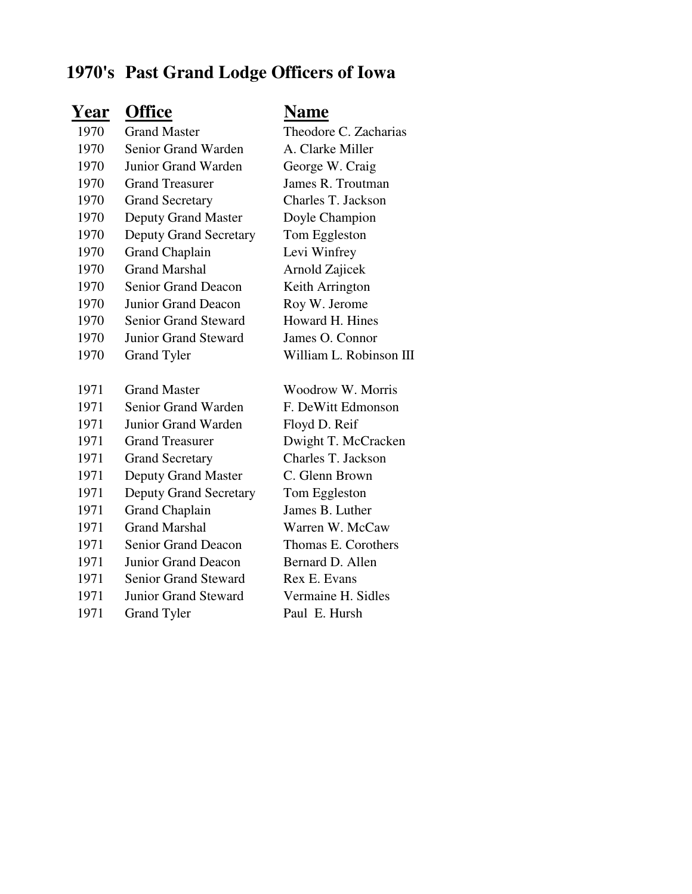## **1970's Past Grand Lodge Officers of Iowa**

## **Year Office Name**

| 1970 | <b>Grand Master</b>           | Theodore C. Zacharias   |
|------|-------------------------------|-------------------------|
| 1970 | Senior Grand Warden           | A. Clarke Miller        |
| 1970 | Junior Grand Warden           | George W. Craig         |
| 1970 | <b>Grand Treasurer</b>        | James R. Troutman       |
| 1970 | <b>Grand Secretary</b>        | Charles T. Jackson      |
| 1970 | <b>Deputy Grand Master</b>    | Doyle Champion          |
| 1970 | <b>Deputy Grand Secretary</b> | Tom Eggleston           |
| 1970 | <b>Grand Chaplain</b>         | Levi Winfrey            |
| 1970 | <b>Grand Marshal</b>          | Arnold Zajicek          |
| 1970 | <b>Senior Grand Deacon</b>    | Keith Arrington         |
| 1970 | <b>Junior Grand Deacon</b>    | Roy W. Jerome           |
| 1970 | <b>Senior Grand Steward</b>   | Howard H. Hines         |
| 1970 | <b>Junior Grand Steward</b>   | James O. Connor         |
| 1970 | <b>Grand Tyler</b>            | William L. Robinson III |
|      |                               |                         |
| 1971 | <b>Grand Master</b>           | Woodrow W. Morris       |
| 1971 | Senior Grand Warden           | F. DeWitt Edmonson      |
| 1971 | Junior Grand Warden           | Floyd D. Reif           |
| 1971 | <b>Grand Treasurer</b>        | Dwight T. McCracken     |
| 1971 | <b>Grand Secretary</b>        | Charles T. Jackson      |
| 1971 | <b>Deputy Grand Master</b>    | C. Glenn Brown          |
| 1971 | <b>Deputy Grand Secretary</b> | Tom Eggleston           |
| 1971 | <b>Grand Chaplain</b>         | James B. Luther         |
| 1971 | <b>Grand Marshal</b>          | Warren W. McCaw         |
| 1971 | <b>Senior Grand Deacon</b>    | Thomas E. Corothers     |
| 1971 | Junior Grand Deacon           | Bernard D. Allen        |
| 1971 | <b>Senior Grand Steward</b>   | Rex E. Evans            |
| 1971 | <b>Junior Grand Steward</b>   | Vermaine H. Sidles      |
| 1971 | <b>Grand Tyler</b>            | Paul E. Hursh           |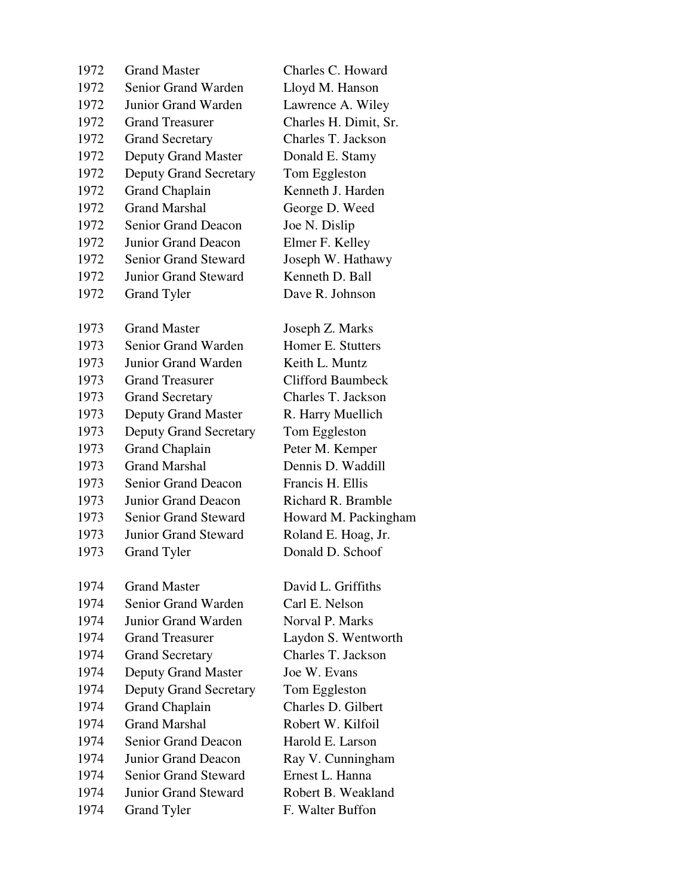| 1972 | <b>Grand Master</b>           | Charles C. Howard        |
|------|-------------------------------|--------------------------|
| 1972 | Senior Grand Warden           | Lloyd M. Hanson          |
| 1972 | Junior Grand Warden           | Lawrence A. Wiley        |
| 1972 | <b>Grand Treasurer</b>        | Charles H. Dimit, Sr.    |
| 1972 | <b>Grand Secretary</b>        | Charles T. Jackson       |
| 1972 | <b>Deputy Grand Master</b>    | Donald E. Stamy          |
| 1972 | <b>Deputy Grand Secretary</b> | Tom Eggleston            |
| 1972 | <b>Grand Chaplain</b>         | Kenneth J. Harden        |
| 1972 | <b>Grand Marshal</b>          | George D. Weed           |
| 1972 | <b>Senior Grand Deacon</b>    | Joe N. Dislip            |
| 1972 | Junior Grand Deacon           | Elmer F. Kelley          |
| 1972 | <b>Senior Grand Steward</b>   | Joseph W. Hathawy        |
| 1972 | <b>Junior Grand Steward</b>   | Kenneth D. Ball          |
| 1972 | <b>Grand Tyler</b>            | Dave R. Johnson          |
| 1973 | <b>Grand Master</b>           | Joseph Z. Marks          |
| 1973 | Senior Grand Warden           | Homer E. Stutters        |
| 1973 | Junior Grand Warden           | Keith L. Muntz           |
| 1973 | <b>Grand Treasurer</b>        | <b>Clifford Baumbeck</b> |
| 1973 | <b>Grand Secretary</b>        | Charles T. Jackson       |
| 1973 | <b>Deputy Grand Master</b>    | R. Harry Muellich        |
| 1973 | <b>Deputy Grand Secretary</b> | Tom Eggleston            |
| 1973 | <b>Grand Chaplain</b>         | Peter M. Kemper          |
| 1973 | <b>Grand Marshal</b>          | Dennis D. Waddill        |
| 1973 | <b>Senior Grand Deacon</b>    | Francis H. Ellis         |
| 1973 | <b>Junior Grand Deacon</b>    | Richard R. Bramble       |
| 1973 | <b>Senior Grand Steward</b>   | Howard M. Packingham     |
| 1973 | <b>Junior Grand Steward</b>   | Roland E. Hoag, Jr.      |
| 1973 | <b>Grand Tyler</b>            | Donald D. Schoof         |
| 1974 | <b>Grand Master</b>           | David L. Griffiths       |
| 1974 | Senior Grand Warden           | Carl E. Nelson           |
| 1974 | Junior Grand Warden           | Norval P. Marks          |
| 1974 | <b>Grand Treasurer</b>        | Laydon S. Wentworth      |
| 1974 | <b>Grand Secretary</b>        | Charles T. Jackson       |
| 1974 | <b>Deputy Grand Master</b>    | Joe W. Evans             |
| 1974 | <b>Deputy Grand Secretary</b> | Tom Eggleston            |
| 1974 | <b>Grand Chaplain</b>         | Charles D. Gilbert       |
| 1974 | <b>Grand Marshal</b>          | Robert W. Kilfoil        |
| 1974 | <b>Senior Grand Deacon</b>    | Harold E. Larson         |
| 1974 | Junior Grand Deacon           | Ray V. Cunningham        |
| 1974 | <b>Senior Grand Steward</b>   | Ernest L. Hanna          |
| 1974 | <b>Junior Grand Steward</b>   | Robert B. Weakland       |
| 1974 | <b>Grand Tyler</b>            | F. Walter Buffon         |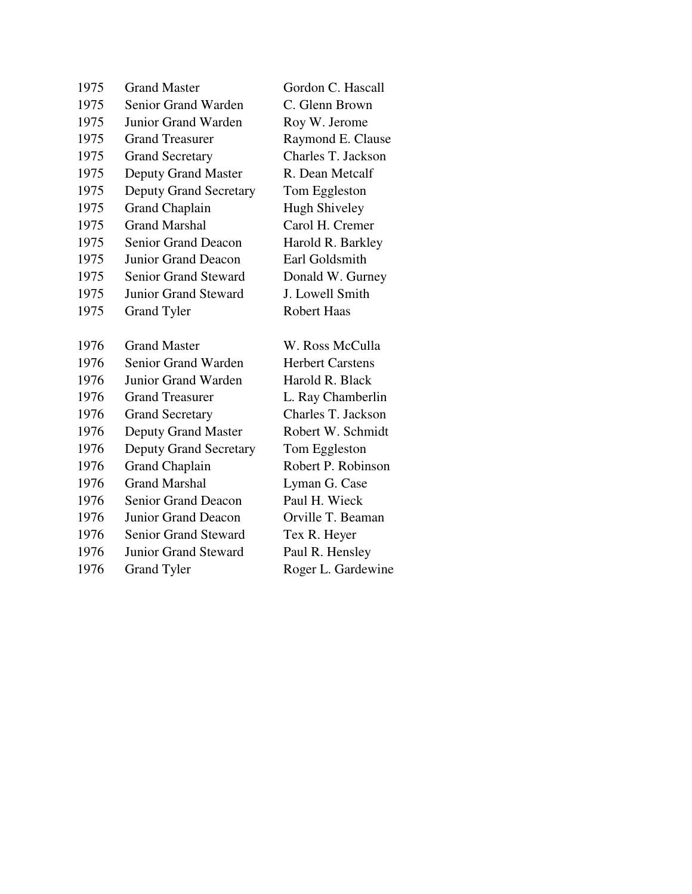| 1975 | <b>Grand Master</b>           | Gordon C. Hascall       |
|------|-------------------------------|-------------------------|
| 1975 | Senior Grand Warden           | C. Glenn Brown          |
| 1975 | Junior Grand Warden           | Roy W. Jerome           |
| 1975 | <b>Grand Treasurer</b>        | Raymond E. Clause       |
| 1975 | <b>Grand Secretary</b>        | Charles T. Jackson      |
| 1975 | <b>Deputy Grand Master</b>    | R. Dean Metcalf         |
| 1975 | <b>Deputy Grand Secretary</b> | Tom Eggleston           |
| 1975 | <b>Grand Chaplain</b>         | <b>Hugh Shiveley</b>    |
| 1975 | <b>Grand Marshal</b>          | Carol H. Cremer         |
| 1975 | <b>Senior Grand Deacon</b>    | Harold R. Barkley       |
| 1975 | <b>Junior Grand Deacon</b>    | Earl Goldsmith          |
| 1975 | <b>Senior Grand Steward</b>   | Donald W. Gurney        |
| 1975 | <b>Junior Grand Steward</b>   | J. Lowell Smith         |
| 1975 | <b>Grand Tyler</b>            | <b>Robert Haas</b>      |
|      |                               |                         |
| 1976 | <b>Grand Master</b>           | W. Ross McCulla         |
|      |                               |                         |
| 1976 | Senior Grand Warden           | <b>Herbert Carstens</b> |
| 1976 | Junior Grand Warden           | Harold R. Black         |
| 1976 | <b>Grand Treasurer</b>        | L. Ray Chamberlin       |
| 1976 | <b>Grand Secretary</b>        | Charles T. Jackson      |
| 1976 | <b>Deputy Grand Master</b>    | Robert W. Schmidt       |
| 1976 | <b>Deputy Grand Secretary</b> | Tom Eggleston           |
| 1976 | <b>Grand Chaplain</b>         | Robert P. Robinson      |
| 1976 | <b>Grand Marshal</b>          | Lyman G. Case           |
| 1976 | <b>Senior Grand Deacon</b>    | Paul H. Wieck           |
| 1976 | <b>Junior Grand Deacon</b>    | Orville T. Beaman       |
| 1976 | Senior Grand Steward          | Tex R. Heyer            |
| 1976 | <b>Junior Grand Steward</b>   | Paul R. Hensley         |
| 1976 | Grand Tyler                   | Roger L. Gardewine      |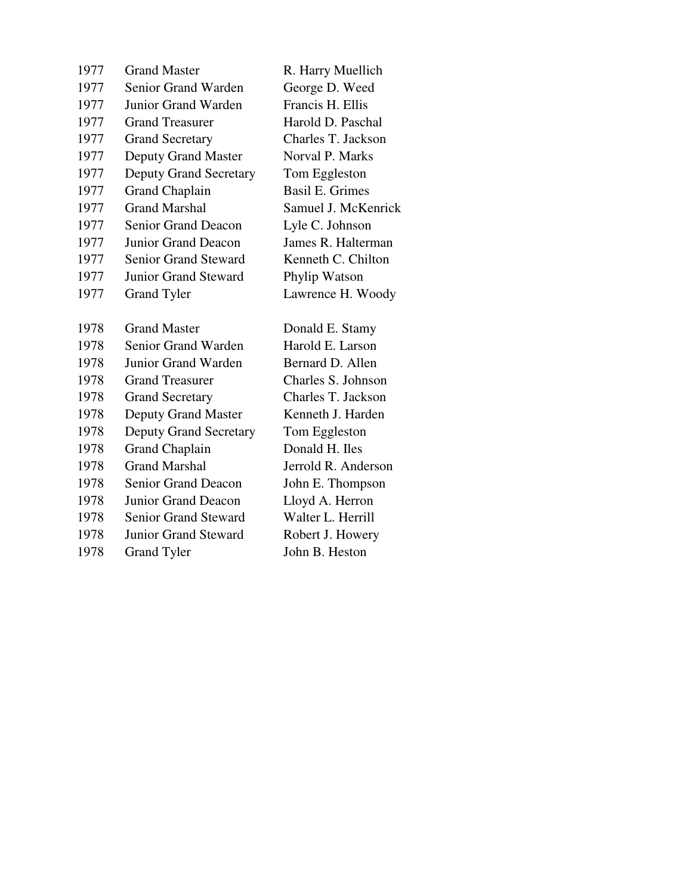| 1977 | <b>Grand Master</b>           | R. Harry Muellich      |
|------|-------------------------------|------------------------|
| 1977 | Senior Grand Warden           | George D. Weed         |
| 1977 | Junior Grand Warden           | Francis H. Ellis       |
| 1977 | <b>Grand Treasurer</b>        | Harold D. Paschal      |
| 1977 | <b>Grand Secretary</b>        | Charles T. Jackson     |
| 1977 | <b>Deputy Grand Master</b>    | Norval P. Marks        |
| 1977 | <b>Deputy Grand Secretary</b> | Tom Eggleston          |
| 1977 | <b>Grand Chaplain</b>         | <b>Basil E. Grimes</b> |
| 1977 | <b>Grand Marshal</b>          | Samuel J. McKenrick    |
| 1977 | <b>Senior Grand Deacon</b>    | Lyle C. Johnson        |
| 1977 | <b>Junior Grand Deacon</b>    | James R. Halterman     |
| 1977 | <b>Senior Grand Steward</b>   | Kenneth C. Chilton     |
| 1977 | <b>Junior Grand Steward</b>   | Phylip Watson          |
| 1977 | <b>Grand Tyler</b>            | Lawrence H. Woody      |
|      |                               |                        |
|      |                               |                        |
| 1978 | <b>Grand Master</b>           | Donald E. Stamy        |
| 1978 | Senior Grand Warden           | Harold E. Larson       |
| 1978 | <b>Junior Grand Warden</b>    | Bernard D. Allen       |
| 1978 | <b>Grand Treasurer</b>        | Charles S. Johnson     |
| 1978 | <b>Grand Secretary</b>        | Charles T. Jackson     |
| 1978 | <b>Deputy Grand Master</b>    | Kenneth J. Harden      |
| 1978 | <b>Deputy Grand Secretary</b> | Tom Eggleston          |
| 1978 | <b>Grand Chaplain</b>         | Donald H. Iles         |
| 1978 | <b>Grand Marshal</b>          | Jerrold R. Anderson    |
| 1978 | <b>Senior Grand Deacon</b>    | John E. Thompson       |
| 1978 | Junior Grand Deacon           | Lloyd A. Herron        |
| 1978 | <b>Senior Grand Steward</b>   | Walter L. Herrill      |
| 1978 | <b>Junior Grand Steward</b>   | Robert J. Howery       |
| 1978 | <b>Grand Tyler</b>            | John B. Heston         |